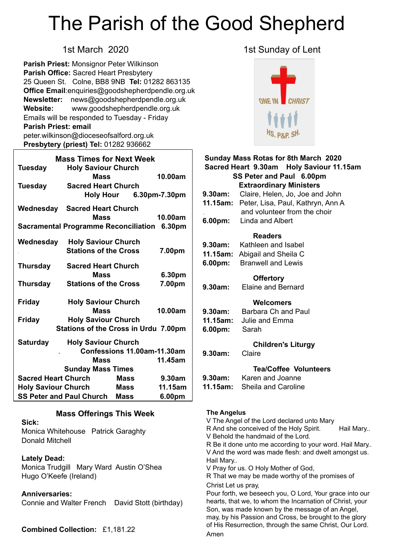# The Parish of the Good Shepherd

**Parish Priest:** Monsignor Peter Wilkinson **Parish Office:** Sacred Heart Presbytery 25 Queen St. Colne, BB8 9NB **Tel:** 01282 863135 **Office Email**[:enquiries@goodshepherdpendle.org.uk](mailto:enquiries@goodshepherdpendle.org.uk) **Newsletter:** news@goodshepherdpendle.org.uk **Website:** www.goodshepherdpendle.org.uk Emails will be responded to Tuesday - Friday **Parish Priest: email**  [peter.wilkinson@dioceseofsalford.org.uk](mailto:Emailpeter.wilkinson@dioceseofsalford.org.uk) **Presbytery (priest) Tel:** 01282 936662

| <b>Mass Times for Next Week</b>                                                            |                                                            |                             |         |
|--------------------------------------------------------------------------------------------|------------------------------------------------------------|-----------------------------|---------|
| <b>Tuesday</b>                                                                             | <b>Holy Saviour Church</b><br><b>Mass</b>                  |                             | 10.00am |
| <b>Tuesday</b>                                                                             | <b>Sacred Heart Church</b>                                 | Holy Hour 6.30pm-7.30pm     |         |
| Wednesday                                                                                  | <b>Sacred Heart Church</b><br><b>Mass</b>                  |                             | 10.00am |
| <b>Sacramental Programme Reconciliation</b><br>6.30pm                                      |                                                            |                             |         |
| Wednesday                                                                                  | <b>Holy Saviour Church</b><br><b>Stations of the Cross</b> |                             | 7.00pm  |
| <b>Thursday</b>                                                                            | <b>Sacred Heart Church</b><br><b>Mass</b>                  |                             | 6.30pm  |
| <b>Thursday</b>                                                                            | <b>Stations of the Cross</b>                               |                             | 7.00pm  |
| <b>Friday</b>                                                                              | <b>Holy Saviour Church</b><br><b>Mass</b>                  |                             | 10.00am |
| <b>Holy Saviour Church</b><br><b>Friday</b><br><b>Stations of the Cross in Urdu 7.00pm</b> |                                                            |                             |         |
| <b>Saturday</b>                                                                            | <b>Holy Saviour Church</b>                                 | Confessions 11.00am-11.30am |         |
|                                                                                            | <b>Mass</b><br><b>Sunday Mass Times</b>                    |                             | 11.45am |
| <b>Sacred Heart Church</b>                                                                 |                                                            | <b>Mass</b>                 | 9.30am  |
|                                                                                            | <b>Holy Saviour Church Mass</b>                            |                             | 11.15am |
|                                                                                            | <b>SS Peter and Paul Church Mass</b>                       |                             | 6.00pm  |

#### **Mass Offerings This Week**

**Sick:**

Monica Whitehouse Patrick Garaghty Donald Mitchell

#### **Lately Dead:**

Monica Trudgill Mary Ward Austin O'Shea Hugo O'Keefe (Ireland)

#### **Anniversaries:**

Connie and Walter French David Stott (birthday)

**Combined Collection:** £1,181.22

#### 1st March 2020 1st Sunday of Lent



### **Sunday Mass Rotas for 8th March 2020 Sacred Heart 9.30am Holy Saviour 11.15am SS Peter and Paul 6.00pm Extraordinary Ministers 9.30am:** Claire, Helen, Jo, Joe and John **11.15am:** Peter, Lisa, Paul, Kathryn, Ann A and volunteer from the choir **6.00pm:** Linda and Albert  **Readers 9.30am:** Kathleen and Isabel **11.15am:** Abigail and Sheila C **6.00pm:** Branwell and Lewis  **Offertory 9.30am:** Elaine and Bernard  **Welcomers 9.30am:** Barbara Ch and Paul **11.15am:** Julie and Emma **6.00pm:** Sarah  **Children's Liturgy 9.30am:** Claire **Tea/Coffee Volunteers 9.30am:** Karen and Joanne **11.15am:** Sheila and Caroline

#### **The Angelus**

V The Angel of the Lord declared unto Mary R And she conceived of the Holy Spirit. Hail Mary.. V Behold the handmaid of the Lord. V And the word was made flesh: and dwelt amongst us. R Be it done unto me according to your word. Hail Mary.. Hail Mary.. V Pray for us. O Holy Mother of God, R That we may be made worthy of the promises of Christ Let us pray, Pour forth, we beseech you, O Lord, Your grace into our hearts, that we, to whom the Incarnation of Christ, your Son, was made known by the message of an Angel, may, by his Passion and Cross, be brought to the glory of His Resurrection, through the same Christ, Our Lord. Amen